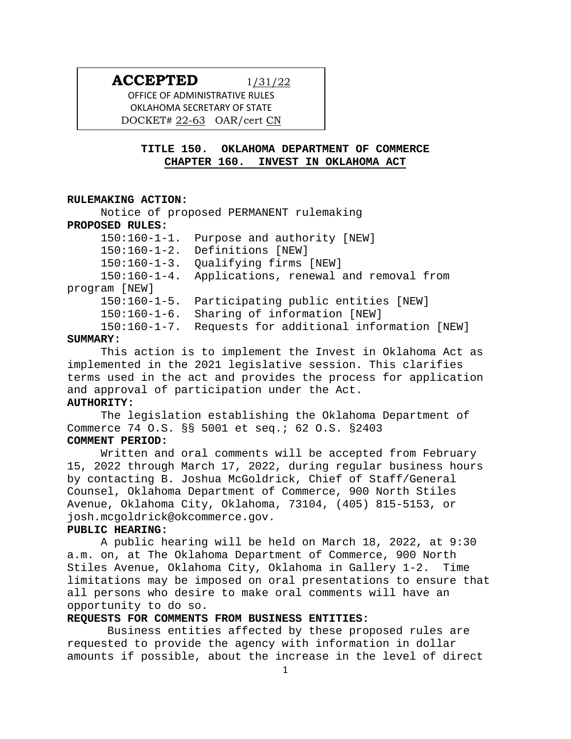# **ACCEPTED** 1/31/22

OFFICE OF ADMINISTRATIVE RULES OKLAHOMA SECRETARY OF STATE DOCKET# 22-63 OAR/cert CN

## **TITLE 150. OKLAHOMA DEPARTMENT OF COMMERCE CHAPTER 160. INVEST IN OKLAHOMA ACT**

### **RULEMAKING ACTION:**

Notice of proposed PERMANENT rulemaking **PROPOSED RULES:** 150:160-1-1. Purpose and authority [NEW] 150:160-1-2. Definitions [NEW] 150:160-1-3. Qualifying firms [NEW] 150:160-1-4. Applications, renewal and removal from program [NEW] 150:160-1-5. Participating public entities [NEW] 150:160-1-6. Sharing of information [NEW] 150:160-1-7. Requests for additional information [NEW]

### **SUMMARY:**

This action is to implement the Invest in Oklahoma Act as implemented in the 2021 legislative session. This clarifies terms used in the act and provides the process for application and approval of participation under the Act.

## **AUTHORITY:**

The legislation establishing the Oklahoma Department of Commerce 74 O.S. §§ 5001 et seq.; 62 O.S. §2403 **COMMENT PERIOD:**

Written and oral comments will be accepted from February 15, 2022 through March 17, 2022, during regular business hours by contacting B. Joshua McGoldrick, Chief of Staff/General Counsel, Oklahoma Department of Commerce, 900 North Stiles Avenue, Oklahoma City, Oklahoma, 73104, (405) 815-5153, or josh.mcgoldrick@okcommerce.gov.

## **PUBLIC HEARING:**

A public hearing will be held on March 18, 2022, at 9:30 a.m. on, at The Oklahoma Department of Commerce, 900 North Stiles Avenue, Oklahoma City, Oklahoma in Gallery 1-2. Time limitations may be imposed on oral presentations to ensure that all persons who desire to make oral comments will have an opportunity to do so.

### **REQUESTS FOR COMMENTS FROM BUSINESS ENTITIES:**

Business entities affected by these proposed rules are requested to provide the agency with information in dollar amounts if possible, about the increase in the level of direct